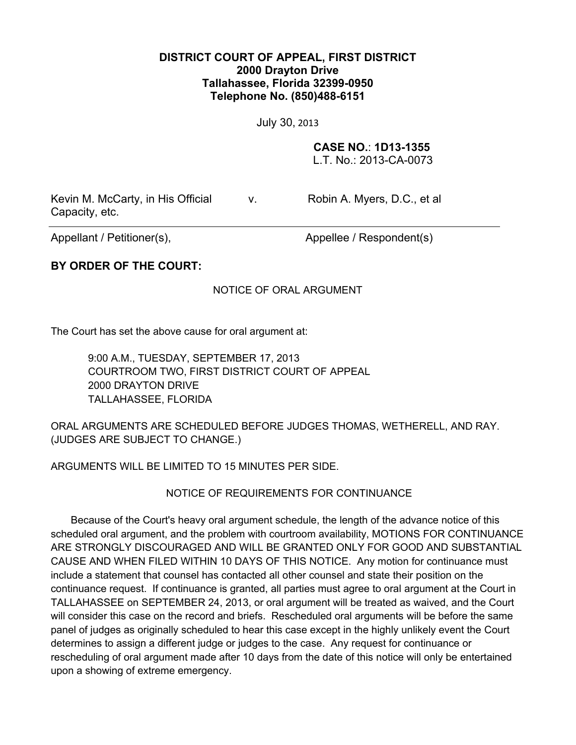## **DISTRICT COURT OF APPEAL, FIRST DISTRICT 2000 Drayton Drive Tallahassee, Florida 32399-0950 Telephone No. (850)488-6151**

July 30, 2013

## **CASE NO.**: **1D13-1355**

L.T. No.: 2013-CA-0073

Kevin M. McCarty, in His Official Capacity, etc.

v. Robin A. Myers, D.C., et al

Appellant / Petitioner(s), Appellee / Respondent(s)

# **BY ORDER OF THE COURT:**

### NOTICE OF ORAL ARGUMENT

The Court has set the above cause for oral argument at:

9:00 A.M., TUESDAY, SEPTEMBER 17, 2013 COURTROOM TWO, FIRST DISTRICT COURT OF APPEAL 2000 DRAYTON DRIVE TALLAHASSEE, FLORIDA

ORAL ARGUMENTS ARE SCHEDULED BEFORE JUDGES THOMAS, WETHERELL, AND RAY. (JUDGES ARE SUBJECT TO CHANGE.)

ARGUMENTS WILL BE LIMITED TO 15 MINUTES PER SIDE.

#### NOTICE OF REQUIREMENTS FOR CONTINUANCE

Because of the Court's heavy oral argument schedule, the length of the advance notice of this scheduled oral argument, and the problem with courtroom availability, MOTIONS FOR CONTINUANCE ARE STRONGLY DISCOURAGED AND WILL BE GRANTED ONLY FOR GOOD AND SUBSTANTIAL CAUSE AND WHEN FILED WITHIN 10 DAYS OF THIS NOTICE. Any motion for continuance must include a statement that counsel has contacted all other counsel and state their position on the continuance request. If continuance is granted, all parties must agree to oral argument at the Court in TALLAHASSEE on SEPTEMBER 24, 2013, or oral argument will be treated as waived, and the Court will consider this case on the record and briefs. Rescheduled oral arguments will be before the same panel of judges as originally scheduled to hear this case except in the highly unlikely event the Court determines to assign a different judge or judges to the case. Any request for continuance or rescheduling of oral argument made after 10 days from the date of this notice will only be entertained upon a showing of extreme emergency.